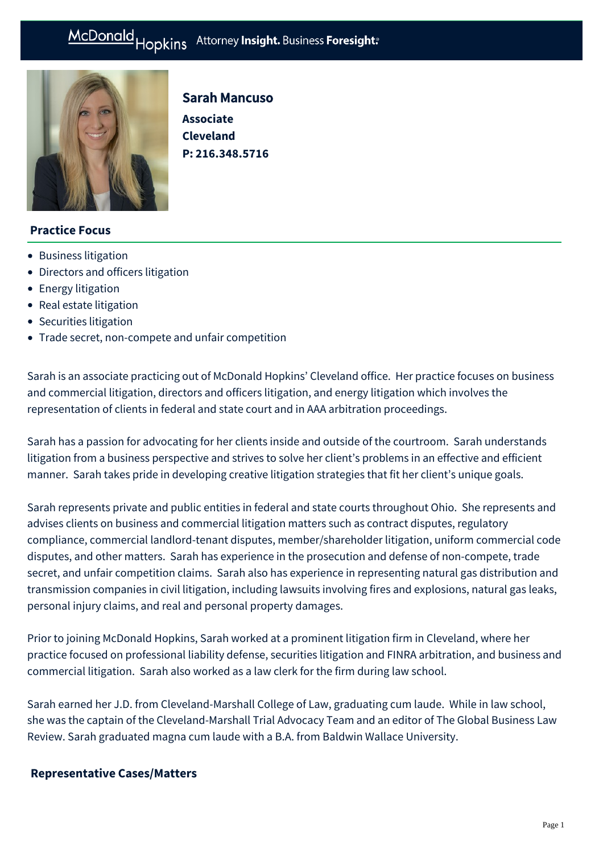

# Sarah Mancuso

**Associate Cleveland P: [216.348.5716](tel:216.348.5716)**

### **Practice Focus**

- [Business litigation](https://mcdonaldhopkins.com/Expertise/Litigation/Business-litigation)
- [Directors and officers litigation](https://mcdonaldhopkins.com/Expertise/Litigation/Directors-and-officers-litigation)
- [Energy litigation](https://mcdonaldhopkins.com/Expertise/Litigation/Energy-litigation)
- [Real estate litigation](https://mcdonaldhopkins.com/Expertise/Real-estate/Real-estate-litigation)
- [Securities litigation](https://mcdonaldhopkins.com/Expertise/Litigation/Securities-litigation)
- [Trade secret, non-compete and unfair competition](https://mcdonaldhopkins.com/Expertise/Litigation/Tradesecret-noncompete-unfair-competition)

Sarah is an associate practicing out of McDonald Hopkins' Cleveland office. Her practice focuses on business and commercial litigation, directors and officers litigation, and energy litigation which involves the representation of clients in federal and state court and in AAA arbitration proceedings.

Sarah has a passion for advocating for her clients inside and outside of the courtroom. Sarah understands litigation from a business perspective and strives to solve her client's problems in an effective and efficient manner. Sarah takes pride in developing creative litigation strategies that fit her client's unique goals.

Sarah represents private and public entities in federal and state courts throughout Ohio. She represents and advises clients on business and commercial litigation matters such as contract disputes, regulatory compliance, commercial landlord-tenant disputes, member/shareholder litigation, uniform commercial code disputes, and other matters. Sarah has experience in the prosecution and defense of non-compete, trade secret, and unfair competition claims. Sarah also has experience in representing natural gas distribution and transmission companies in civil litigation, including lawsuits involving fires and explosions, natural gas leaks, personal injury claims, and real and personal property damages.

Prior to joining McDonald Hopkins, Sarah worked at a prominent litigation firm in Cleveland, where her practice focused on professional liability defense, securities litigation and FINRA arbitration, and business and commercial litigation. Sarah also worked as a law clerk for the firm during law school.

Sarah earned her J.D. from Cleveland-Marshall College of Law, graduating cum laude. While in law school, she was the captain of the Cleveland-Marshall Trial Advocacy Team and an editor of The Global Business Law Review. Sarah graduated magna cum laude with a B.A. from Baldwin Wallace University.

### **[Representative Cases/Matters](#page-1-0)**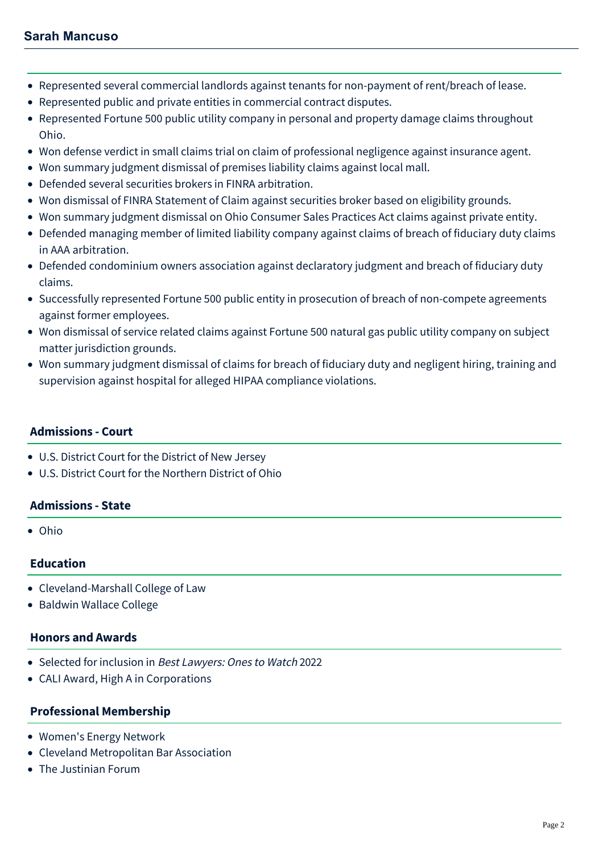## **Sarah Mancuso**

- <span id="page-1-0"></span>Represented several commercial landlords against tenants for non-payment of rent/breach of lease.
- Represented public and private entities in commercial contract disputes.
- Represented Fortune 500 public utility company in personal and property damage claims throughout Ohio.
- Won defense verdict in small claims trial on claim of professional negligence against insurance agent.
- Won summary judgment dismissal of premises liability claims against local mall.
- Defended several securities brokers in FINRA arbitration.
- Won dismissal of FINRA Statement of Claim against securities broker based on eligibility grounds.
- Won summary judgment dismissal on Ohio Consumer Sales Practices Act claims against private entity.
- Defended managing member of limited liability company against claims of breach of fiduciary duty claims in AAA arbitration.
- Defended condominium owners association against declaratory judgment and breach of fiduciary duty claims.
- Successfully represented Fortune 500 public entity in prosecution of breach of non-compete agreements against former employees.
- Won dismissal of service related claims against Fortune 500 natural gas public utility company on subject matter jurisdiction grounds.
- Won summary judgment dismissal of claims for breach of fiduciary duty and negligent hiring, training and supervision against hospital for alleged HIPAA compliance violations.

#### **Admissions - Court**

- U.S. District Court for the District of New Jersey
- U.S. District Court for the Northern District of Ohio

### **Admissions - State**

Ohio

### **Education**

- Cleveland-Marshall College of Law
- Baldwin Wallace College

#### **Honors and Awards**

- Selected for inclusion in Best Lawyers: Ones to Watch 2022
- CALI Award, High A in Corporations

#### **Professional Membership**

- Women's Energy Network
- Cleveland Metropolitan Bar Association
- The Justinian Forum